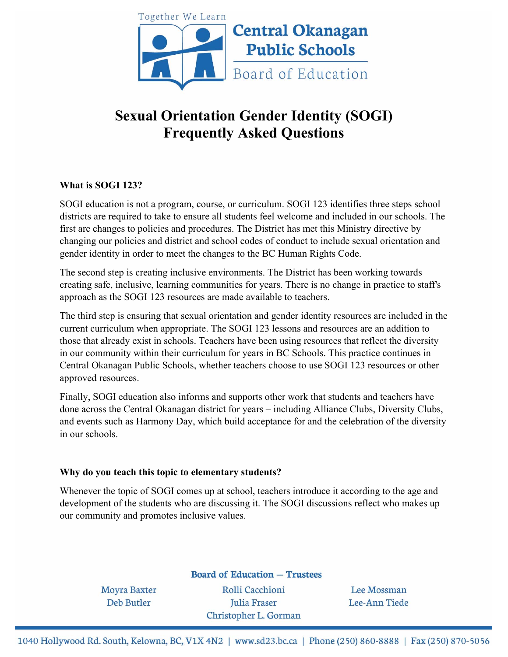

# **Sexual Orientation Gender Identity (SOGI) Frequently Asked Questions**

## **What is SOGI 123?**

SOGI education is not a program, course, or curriculum. SOGI 123 identifies three steps school districts are required to take to ensure all students feel welcome and included in our schools. The first are changes to policies and procedures. The District has met this Ministry directive by changing our policies and district and school codes of conduct to include sexual orientation and gender identity in order to meet the changes to the BC Human Rights Code.

The second step is creating inclusive environments. The District has been working towards creating safe, inclusive, learning communities for years. There is no change in practice to staff's approach as the SOGI 123 resources are made available to teachers.

The third step is ensuring that sexual orientation and gender identity resources are included in the current curriculum when appropriate. The SOGI 123 lessons and resources are an addition to those that already exist in schools. Teachers have been using resources that reflect the diversity in our community within their curriculum for years in BC Schools. This practice continues in Central Okanagan Public Schools, whether teachers choose to use SOGI 123 resources or other approved resources.

Finally, SOGI education also informs and supports other work that students and teachers have done across the Central Okanagan district for years – including Alliance Clubs, Diversity Clubs, and events such as Harmony Day, which build acceptance for and the celebration of the diversity in our schools.

## **Why do you teach this topic to elementary students?**

Whenever the topic of SOGI comes up at school, teachers introduce it according to the age and development of the students who are discussing it. The SOGI discussions reflect who makes up our community and promotes inclusive values.

**Board of Education - Trustees** 

**Moyra Baxter Deb Butler** 

Rolli Cacchioni Julia Fraser Christopher L. Gorman

Lee Mossman Lee-Ann Tiede

1040 Hollywood Rd. South, Kelowna, BC, V1X 4N2 | www.sd23.bc.ca | Phone (250) 860-8888 | Fax (250) 870-5056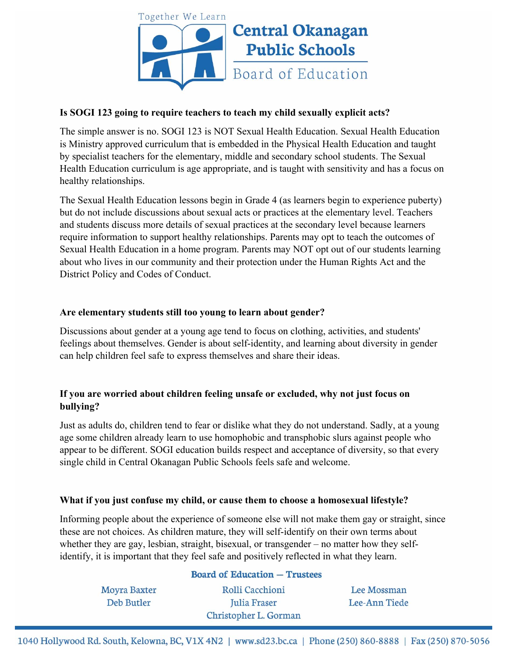

## **Is SOGI 123 going to require teachers to teach my child sexually explicit acts?**

The simple answer is no. SOGI 123 is NOT Sexual Health Education. Sexual Health Education is Ministry approved curriculum that is embedded in the Physical Health Education and taught by specialist teachers for the elementary, middle and secondary school students. The Sexual Health Education curriculum is age appropriate, and is taught with sensitivity and has a focus on healthy relationships.

The Sexual Health Education lessons begin in Grade 4 (as learners begin to experience puberty) but do not include discussions about sexual acts or practices at the elementary level. Teachers and students discuss more details of sexual practices at the secondary level because learners require information to support healthy relationships. Parents may opt to teach the outcomes of Sexual Health Education in a home program. Parents may NOT opt out of our students learning about who lives in our community and their protection under the Human Rights Act and the District Policy and Codes of Conduct.

## **Are elementary students still too young to learn about gender?**

Discussions about gender at a young age tend to focus on clothing, activities, and students' feelings about themselves. Gender is about self-identity, and learning about diversity in gender can help children feel safe to express themselves and share their ideas.

## **If you are worried about children feeling unsafe or excluded, why not just focus on bullying?**

Just as adults do, children tend to fear or dislike what they do not understand. Sadly, at a young age some children already learn to use homophobic and transphobic slurs against people who appear to be different. SOGI education builds respect and acceptance of diversity, so that every single child in Central Okanagan Public Schools feels safe and welcome.

# **What if you just confuse my child, or cause them to choose a homosexual lifestyle?**

 $\sim$   $\sim$   $\sim$   $\sim$   $\sim$   $\sim$ 

Informing people about the experience of someone else will not make them gay or straight, since these are not choices. As children mature, they will self-identify on their own terms about whether they are gay, lesbian, straight, bisexual, or transgender – no matter how they selfidentify, it is important that they feel safe and positively reflected in what they learn.

 $\sim$ 

|                     | $\beta$ board of Equeation $-$ Trustees |               |
|---------------------|-----------------------------------------|---------------|
| <b>Moyra Baxter</b> | Rolli Cacchioni                         | Lee Mossman   |
| Deb Butler          | Julia Fraser                            | Lee-Ann Tiede |
|                     | Christopher L. Gorman                   |               |

1040 Hollywood Rd. South, Kelowna, BC, V1X 4N2 | www.sd23.bc.ca | Phone (250) 860-8888 | Fax (250) 870-5056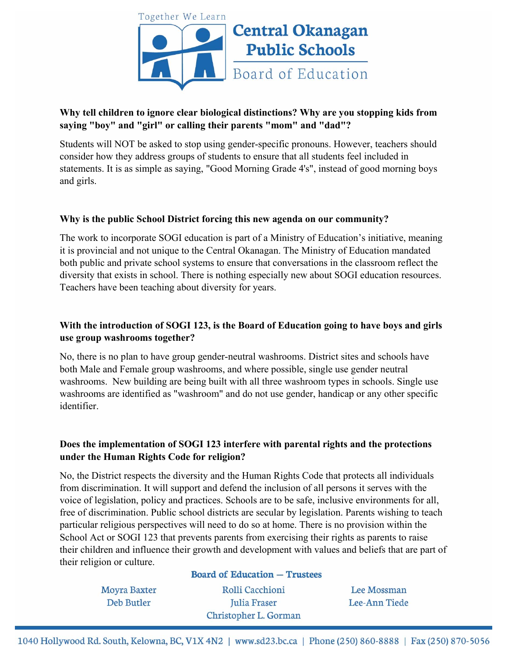

# **Why tell children to ignore clear biological distinctions? Why are you stopping kids from saying "boy" and "girl" or calling their parents "mom" and "dad"?**

Students will NOT be asked to stop using gender-specific pronouns. However, teachers should consider how they address groups of students to ensure that all students feel included in statements. It is as simple as saying, "Good Morning Grade 4's", instead of good morning boys and girls.

## **Why is the public School District forcing this new agenda on our community?**

The work to incorporate SOGI education is part of a Ministry of Education's initiative, meaning it is provincial and not unique to the Central Okanagan. The Ministry of Education mandated both public and private school systems to ensure that conversations in the classroom reflect the diversity that exists in school. There is nothing especially new about SOGI education resources. Teachers have been teaching about diversity for years.

## **With the introduction of SOGI 123, is the Board of Education going to have boys and girls use group washrooms together?**

No, there is no plan to have group gender-neutral washrooms. District sites and schools have both Male and Female group washrooms, and where possible, single use gender neutral washrooms. New building are being built with all three washroom types in schools. Single use washrooms are identified as "washroom" and do not use gender, handicap or any other specific identifier.

# **Does the implementation of SOGI 123 interfere with parental rights and the protections under the Human Rights Code for religion?**

No, the District respects the diversity and the Human Rights Code that protects all individuals from discrimination. It will support and defend the inclusion of all persons it serves with the voice of legislation, policy and practices. Schools are to be safe, inclusive environments for all, free of discrimination. Public school districts are secular by legislation. Parents wishing to teach particular religious perspectives will need to do so at home. There is no provision within the School Act or SOGI 123 that prevents parents from exercising their rights as parents to raise their children and influence their growth and development with values and beliefs that are part of their religion or culture.

> **Moyra Baxter Deb Butler**

## **Board of Education - Trustees**

Rolli Cacchioni Julia Fraser Christopher L. Gorman

Lee Mossman Lee-Ann Tiede